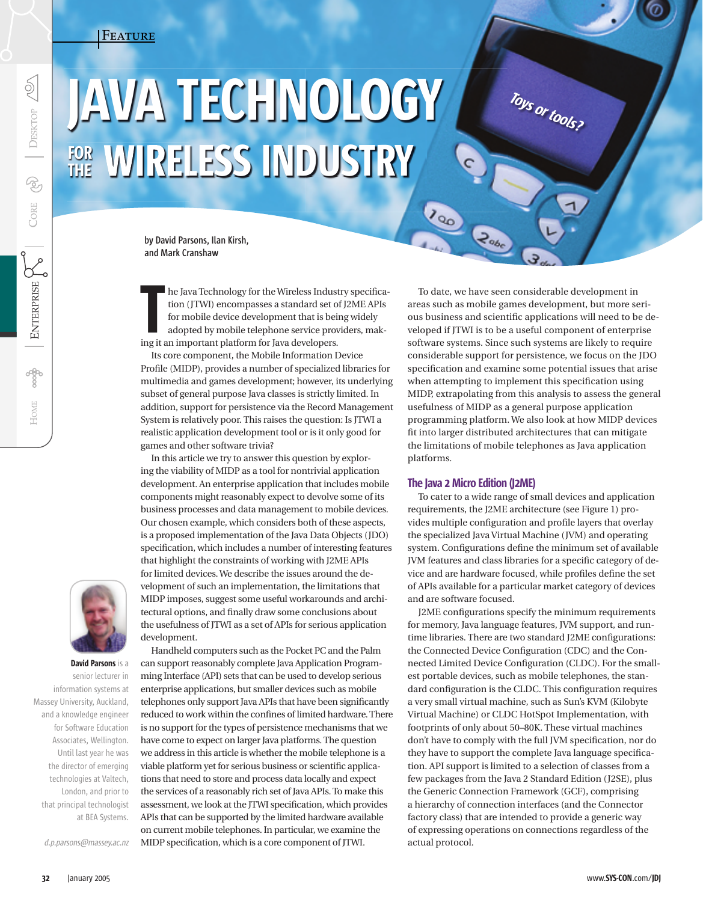# Feature

# JAVA TECHNOLOGY FOR WIRELESS INDUSTRY FOR WIRELESS INDUSTR

**by David Parsons, Ilan Kirsh, and Mark Cranshaw**

he Java Technology for the Wireless Industry specification (JTWI) encompasses a standard set of J2ME APIs for mobile device development that is being widely adopted by mobile telephone service providers, makine Java Technology for the Wireless Industriant platform for mobile device development that is beinded by mobile telephone service propring it an important platform for Java developers.

 Its core component, the Mobile Information Device Profile (MIDP), provides a number of specialized libraries for multimedia and games development; however, its underlying subset of general purpose Java classes is strictly limited. In addition, support for persistence via the Record Management System is relatively poor. This raises the question: Is JTWI a realistic application development tool or is it only good for games and other software trivia?

 In this article we try to answer this question by exploring the viability of MIDP as a tool for nontrivial application development. An enterprise application that includes mobile components might reasonably expect to devolve some of its business processes and data management to mobile devices. Our chosen example, which considers both of these aspects, is a proposed implementation of the Java Data Objects (JDO) specification, which includes a number of interesting features that highlight the constraints of working with J2ME APIs for limited devices. We describe the issues around the development of such an implementation, the limitations that MIDP imposes, suggest some useful workarounds and architectural options, and finally draw some conclusions about the usefulness of JTWI as a set of APIs for serious application development.

 Handheld computers such as the Pocket PC and the Palm can support reasonably complete Java Application Programming Interface (API) sets that can be used to develop serious enterprise applications, but smaller devices such as mobile telephones only support Java APIs that have been significantly reduced to work within the confines of limited hardware. There is no support for the types of persistence mechanisms that we have come to expect on larger Java platforms. The question we address in this article is whether the mobile telephone is a viable platform yet for serious business or scientific applications that need to store and process data locally and expect the services of a reasonably rich set of Java APIs. To make this assessment, we look at the JTWI specification, which provides APIs that can be supported by the limited hardware available on current mobile telephones. In particular, we examine the MIDP specification, which is a core component of JTWI.

 To date, we have seen considerable development in areas such as mobile games development, but more serious business and scientific applications will need to be developed if JTWI is to be a useful component of enterprise software systems. Since such systems are likely to require considerable support for persistence, we focus on the JDO specification and examine some potential issues that arise when attempting to implement this specification using MIDP, extrapolating from this analysis to assess the general usefulness of MIDP as a general purpose application programming platform. We also look at how MIDP devices fit into larger distributed architectures that can mitigate the limitations of mobile telephones as Java application platforms.

Toys or tools?

# The Java 2 Micro Edition (J2ME)

120

 $z<sub>obc</sub>$ 

 To cater to a wide range of small devices and application requirements, the J2ME architecture (see Figure 1) provides multiple configuration and profile layers that overlay the specialized Java Virtual Machine (JVM) and operating system. Configurations define the minimum set of available JVM features and class libraries for a specific category of device and are hardware focused, while profiles define the set of APIs available for a particular market category of devices and are software focused.

J2ME configurations specify the minimum requirements for memory, Java language features, JVM support, and runtime libraries. There are two standard J2ME configurations: the Connected Device Configuration (CDC) and the Connected Limited Device Configuration (CLDC). For the smallest portable devices, such as mobile telephones, the standard configuration is the CLDC. This configuration requires a very small virtual machine, such as Sun's KVM (Kilobyte Virtual Machine) or CLDC HotSpot Implementation, with footprints of only about 50–80K. These virtual machines don't have to comply with the full JVM specification, nor do they have to support the complete Java language specification. API support is limited to a selection of classes from a few packages from the Java 2 Standard Edition (J2SE), plus the Generic Connection Framework (GCF), comprising a hierarchy of connection interfaces (and the Connector factory class) that are intended to provide a generic way of expressing operations on connections regardless of the actual protocol.



David Parsons is a senior lecturer in information systems at Massey University, Auckland, and a knowledge engineer for Software Education Associates, Wellington. Until last year he was the director of emerging technologies at Valtech, London, and prior to that principal technologist at BEA Systems.

d.p.parsons@massey.ac.nz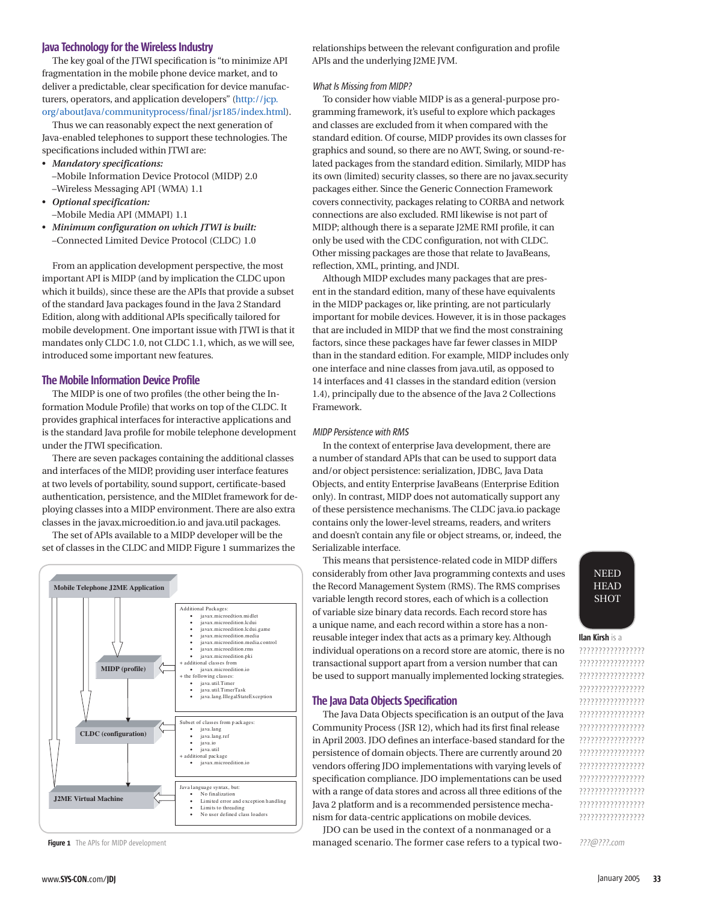## Java Technology for the Wireless Industry

The key goal of the JTWI specification is "to minimize API fragmentation in the mobile phone device market, and to deliver a predictable, clear specification for device manufacturers, operators, and application developers" (http://jcp. org/aboutJava/communityprocess/final/jsr185/index.html).

 Thus we can reasonably expect the next generation of Java-enabled telephones to support these technologies. The specifications included within JTWI are:

- *Mandatory specifications:*
	- –Mobile Information Device Protocol (MIDP) 2.0 –Wireless Messaging API (WMA) 1.1
- *Optional specification:* –Mobile Media API (MMAPI) 1.1
- *Minimum configuration on which JTWI is built:* –Connected Limited Device Protocol (CLDC) 1.0

 From an application development perspective, the most important API is MIDP (and by implication the CLDC upon which it builds), since these are the APIs that provide a subset of the standard Java packages found in the Java 2 Standard Edition, along with additional APIs specifically tailored for mobile development. One important issue with JTWI is that it mandates only CLDC 1.0, not CLDC 1.1, which, as we will see, introduced some important new features.

## **The Mobile Information Device Profile**

The MIDP is one of two profiles (the other being the Information Module Profile) that works on top of the CLDC. It provides graphical interfaces for interactive applications and is the standard Java profile for mobile telephone development under the JTWI specification.

 There are seven packages containing the additional classes and interfaces of the MIDP, providing user interface features at two levels of portability, sound support, certificate-based authentication, persistence, and the MIDlet framework for deploying classes into a MIDP environment. There are also extra classes in the javax.microedition.io and java.util packages.

 The set of APIs available to a MIDP developer will be the set of classes in the CLDC and MIDP. Figure 1 summarizes the



Figure 1 The APIs for MIDP development

relationships between the relevant configuration and profile APIs and the underlying J2ME JVM.

## What Is Missing from MIDP?

 To consider how viable MIDP is as a general-purpose programming framework, it's useful to explore which packages and classes are excluded from it when compared with the standard edition. Of course, MIDP provides its own classes for graphics and sound, so there are no AWT, Swing, or sound-related packages from the standard edition. Similarly, MIDP has its own (limited) security classes, so there are no javax.security packages either. Since the Generic Connection Framework covers connectivity, packages relating to CORBA and network connections are also excluded. RMI likewise is not part of MIDP; although there is a separate J2ME RMI profile, it can only be used with the CDC configuration, not with CLDC. Other missing packages are those that relate to JavaBeans, reflection, XML, printing, and JNDI.

 Although MIDP excludes many packages that are present in the standard edition, many of these have equivalents in the MIDP packages or, like printing, are not particularly important for mobile devices. However, it is in those packages that are included in MIDP that we find the most constraining factors, since these packages have far fewer classes in MIDP than in the standard edition. For example, MIDP includes only one interface and nine classes from java.util, as opposed to 14 interfaces and 41 classes in the standard edition (version 1.4), principally due to the absence of the Java 2 Collections Framework.

#### MIDP Persistence with RMS

 In the context of enterprise Java development, there are a number of standard APIs that can be used to support data and/or object persistence: serialization, JDBC, Java Data Objects, and entity Enterprise JavaBeans (Enterprise Edition only). In contrast, MIDP does not automatically support any of these persistence mechanisms. The CLDC java.io package contains only the lower-level streams, readers, and writers and doesn't contain any file or object streams, or, indeed, the Serializable interface.

 This means that persistence-related code in MIDP differs considerably from other Java programming contexts and uses the Record Management System (RMS). The RMS comprises variable length record stores, each of which is a collection of variable size binary data records. Each record store has a unique name, and each record within a store has a nonreusable integer index that acts as a primary key. Although individual operations on a record store are atomic, there is no transactional support apart from a version number that can be used to support manually implemented locking strategies.

#### The Java Data Objects Specification

The Java Data Objects specification is an output of the Java Community Process (JSR 12), which had its first final release in April 2003. JDO defines an interface-based standard for the persistence of domain objects. There are currently around 20 vendors offering JDO implementations with varying levels of specification compliance. JDO implementations can be used with a range of data stores and across all three editions of the Java 2 platform and is a recommended persistence mechanism for data-centric applications on mobile devices.

 JDO can be used in the context of a nonmanaged or a managed scenario. The former case refers to a typical two-

# NEED **HEAD SHOT**

# Ilan Kirsh is a

????????????????? ????????????????? ????????????????? ????????????????? ????????????????? ????????????????? ????????????????? ????????????????? ????????????????? ????????????????? ????????????????? ????????????????? ????????????????? ?????????????????

???@???.com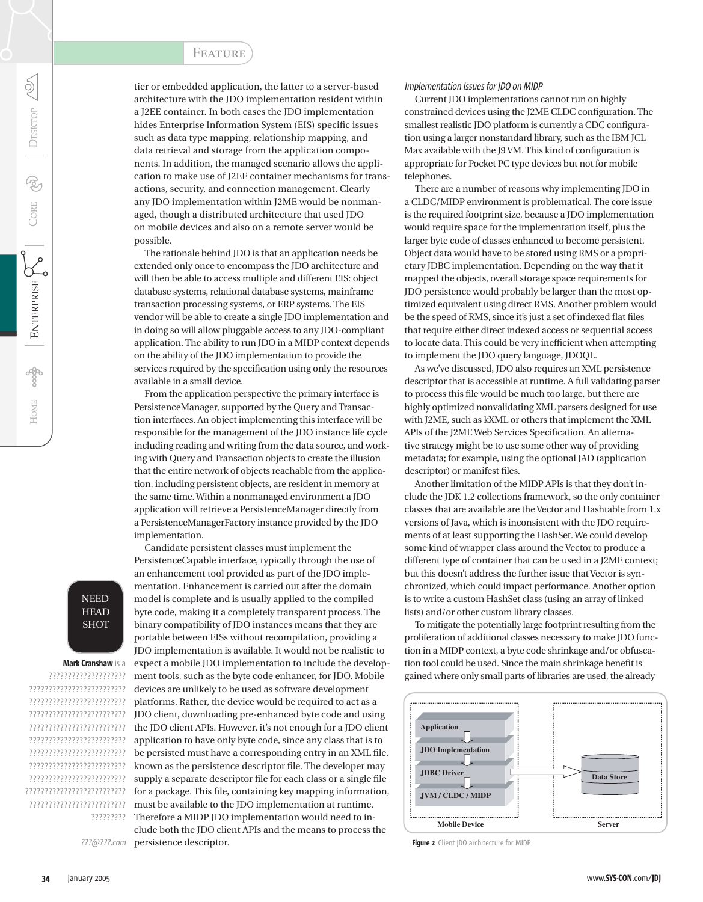# **FEATURE**

tier or embedded application, the latter to a server-based architecture with the JDO implementation resident within a J2EE container. In both cases the JDO implementation hides Enterprise Information System (EIS) specific issues such as data type mapping, relationship mapping, and data retrieval and storage from the application components. In addition, the managed scenario allows the application to make use of J2EE container mechanisms for transactions, security, and connection management. Clearly any JDO implementation within J2ME would be nonmanaged, though a distributed architecture that used JDO on mobile devices and also on a remote server would be possible.

 The rationale behind JDO is that an application needs be extended only once to encompass the JDO architecture and will then be able to access multiple and different EIS: object database systems, relational database systems, mainframe transaction processing systems, or ERP systems. The EIS vendor will be able to create a single JDO implementation and in doing so will allow pluggable access to any JDO-compliant application. The ability to run JDO in a MIDP context depends on the ability of the JDO implementation to provide the services required by the specification using only the resources available in a small device.

 From the application perspective the primary interface is PersistenceManager, supported by the Query and Transaction interfaces. An object implementing this interface will be responsible for the management of the JDO instance life cycle including reading and writing from the data source, and working with Query and Transaction objects to create the illusion that the entire network of objects reachable from the application, including persistent objects, are resident in memory at the same time. Within a nonmanaged environment a JDO application will retrieve a PersistenceManager directly from a PersistenceManagerFactory instance provided by the JDO implementation.

 Candidate persistent classes must implement the PersistenceCapable interface, typically through the use of an enhancement tool provided as part of the JDO implementation. Enhancement is carried out after the domain model is complete and is usually applied to the compiled byte code, making it a completely transparent process. The binary compatibility of JDO instances means that they are portable between EISs without recompilation, providing a JDO implementation is available. It would not be realistic to expect a mobile JDO implementation to include the development tools, such as the byte code enhancer, for JDO. Mobile devices are unlikely to be used as software development platforms. Rather, the device would be required to act as a JDO client, downloading pre-enhanced byte code and using the JDO client APIs. However, it's not enough for a JDO client application to have only byte code, since any class that is to be persisted must have a corresponding entry in an XML file, known as the persistence descriptor file. The developer may supply a separate descriptor file for each class or a single file for a package. This file, containing key mapping information, must be available to the JDO implementation at runtime. Therefore a MIDP JDO implementation would need to include both the JDO client APIs and the means to process the

???@???.com persistence descriptor.

?????????

#### Implementation Issues for JDO on MIDP

 Current JDO implementations cannot run on highly constrained devices using the J2ME CLDC configuration. The smallest realistic JDO platform is currently a CDC configuration using a larger nonstandard library, such as the IBM JCL Max available with the J9 VM. This kind of configuration is appropriate for Pocket PC type devices but not for mobile telephones.

 There are a number of reasons why implementing JDO in a CLDC/MIDP environment is problematical. The core issue is the required footprint size, because a JDO implementation would require space for the implementation itself, plus the larger byte code of classes enhanced to become persistent. Object data would have to be stored using RMS or a proprietary JDBC implementation. Depending on the way that it mapped the objects, overall storage space requirements for JDO persistence would probably be larger than the most optimized equivalent using direct RMS. Another problem would be the speed of RMS, since it's just a set of indexed flat files that require either direct indexed access or sequential access to locate data. This could be very inefficient when attempting to implement the JDO query language, JDOQL.

 As we've discussed, JDO also requires an XML persistence descriptor that is accessible at runtime. A full validating parser to process this file would be much too large, but there are highly optimized nonvalidating XML parsers designed for use with J2ME, such as kXML or others that implement the XML APIs of the J2ME Web Services Specification. An alternative strategy might be to use some other way of providing metadata; for example, using the optional JAD (application descriptor) or manifest files.

 Another limitation of the MIDP APIs is that they don't include the JDK 1.2 collections framework, so the only container classes that are available are the Vector and Hashtable from 1.x versions of Java, which is inconsistent with the JDO requirements of at least supporting the HashSet. We could develop some kind of wrapper class around the Vector to produce a different type of container that can be used in a J2ME context; but this doesn't address the further issue that Vector is synchronized, which could impact performance. Another option is to write a custom HashSet class (using an array of linked lists) and/or other custom library classes.

 To mitigate the potentially large footprint resulting from the proliferation of additional classes necessary to make JDO function in a MIDP context, a byte code shrinkage and/or obfuscation tool could be used. Since the main shrinkage benefit is gained where only small parts of libraries are used, the already



Figure 2 Client IDO architecture for MIDP

Mark Cranshaw is a ???????????????????? ????????????????????????? ????????????????????????? ????????????????????????? ????????????????????????? ????????????????????????? ????????????????????????? ????????????????????????? ????????????????????????? ?????????????????????????? ?????????????????????????

**SHOT** 

HOME

 $\breve{\mathrm{Q}}$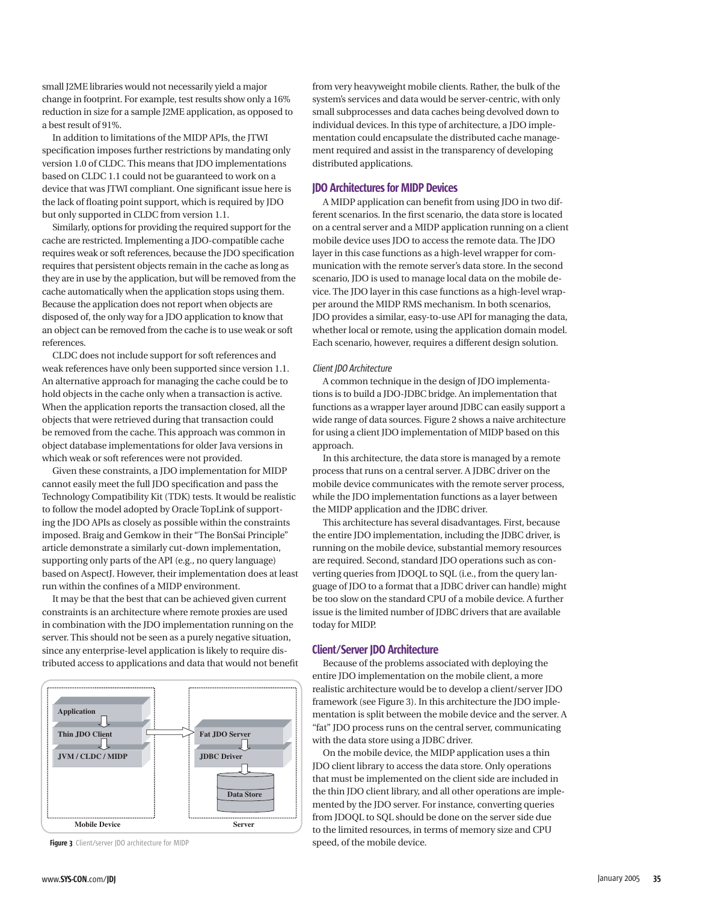small J2ME libraries would not necessarily yield a major change in footprint. For example, test results show only a 16% reduction in size for a sample J2ME application, as opposed to a best result of 91%.

 In addition to limitations of the MIDP APIs, the JTWI specification imposes further restrictions by mandating only version 1.0 of CLDC. This means that JDO implementations based on CLDC 1.1 could not be guaranteed to work on a device that was JTWI compliant. One significant issue here is the lack of floating point support, which is required by JDO but only supported in CLDC from version 1.1.

 Similarly, options for providing the required support for the cache are restricted. Implementing a JDO-compatible cache requires weak or soft references, because the JDO specification requires that persistent objects remain in the cache as long as they are in use by the application, but will be removed from the cache automatically when the application stops using them. Because the application does not report when objects are disposed of, the only way for a JDO application to know that an object can be removed from the cache is to use weak or soft references.

 CLDC does not include support for soft references and weak references have only been supported since version 1.1. An alternative approach for managing the cache could be to hold objects in the cache only when a transaction is active. When the application reports the transaction closed, all the objects that were retrieved during that transaction could be removed from the cache. This approach was common in object database implementations for older Java versions in which weak or soft references were not provided.

 Given these constraints, a JDO implementation for MIDP cannot easily meet the full JDO specification and pass the Technology Compatibility Kit (TDK) tests. It would be realistic to follow the model adopted by Oracle TopLink of supporting the JDO APIs as closely as possible within the constraints imposed. Braig and Gemkow in their "The BonSai Principle" article demonstrate a similarly cut-down implementation, supporting only parts of the API (e.g., no query language) based on AspectJ. However, their implementation does at least run within the confines of a MIDP environment.

 It may be that the best that can be achieved given current constraints is an architecture where remote proxies are used in combination with the JDO implementation running on the server. This should not be seen as a purely negative situation, since any enterprise-level application is likely to require distributed access to applications and data that would not benefit



from very heavyweight mobile clients. Rather, the bulk of the system's services and data would be server-centric, with only small subprocesses and data caches being devolved down to individual devices. In this type of architecture, a JDO implementation could encapsulate the distributed cache management required and assist in the transparency of developing distributed applications.

## JDO Architectures for MIDP Devices

 A MIDP application can benefit from using JDO in two different scenarios. In the first scenario, the data store is located on a central server and a MIDP application running on a client mobile device uses JDO to access the remote data. The JDO layer in this case functions as a high-level wrapper for communication with the remote server's data store. In the second scenario, JDO is used to manage local data on the mobile device. The JDO layer in this case functions as a high-level wrapper around the MIDP RMS mechanism. In both scenarios, JDO provides a similar, easy-to-use API for managing the data, whether local or remote, using the application domain model. Each scenario, however, requires a different design solution.

#### Client JDO Architecture

 A common technique in the design of JDO implementations is to build a JDO-JDBC bridge. An implementation that functions as a wrapper layer around JDBC can easily support a wide range of data sources. Figure 2 shows a naive architecture for using a client JDO implementation of MIDP based on this approach.

 In this architecture, the data store is managed by a remote process that runs on a central server. A JDBC driver on the mobile device communicates with the remote server process, while the JDO implementation functions as a layer between the MIDP application and the JDBC driver.

 This architecture has several disadvantages. First, because the entire JDO implementation, including the JDBC driver, is running on the mobile device, substantial memory resources are required. Second, standard JDO operations such as converting queries from JDOQL to SQL (i.e., from the query language of JDO to a format that a JDBC driver can handle) might be too slow on the standard CPU of a mobile device. A further issue is the limited number of JDBC drivers that are available today for MIDP.

# Client/Server JDO Architecture

 Because of the problems associated with deploying the entire JDO implementation on the mobile client, a more realistic architecture would be to develop a client/server JDO framework (see Figure 3). In this architecture the JDO implementation is split between the mobile device and the server. A "fat" JDO process runs on the central server, communicating with the data store using a JDBC driver.

 On the mobile device, the MIDP application uses a thin JDO client library to access the data store. Only operations that must be implemented on the client side are included in the thin JDO client library, and all other operations are implemented by the JDO server. For instance, converting queries from JDOQL to SQL should be done on the server side due to the limited resources, in terms of memory size and CPU Figure 3 Client/server JDO architecture for MIDP speed, of the mobile device.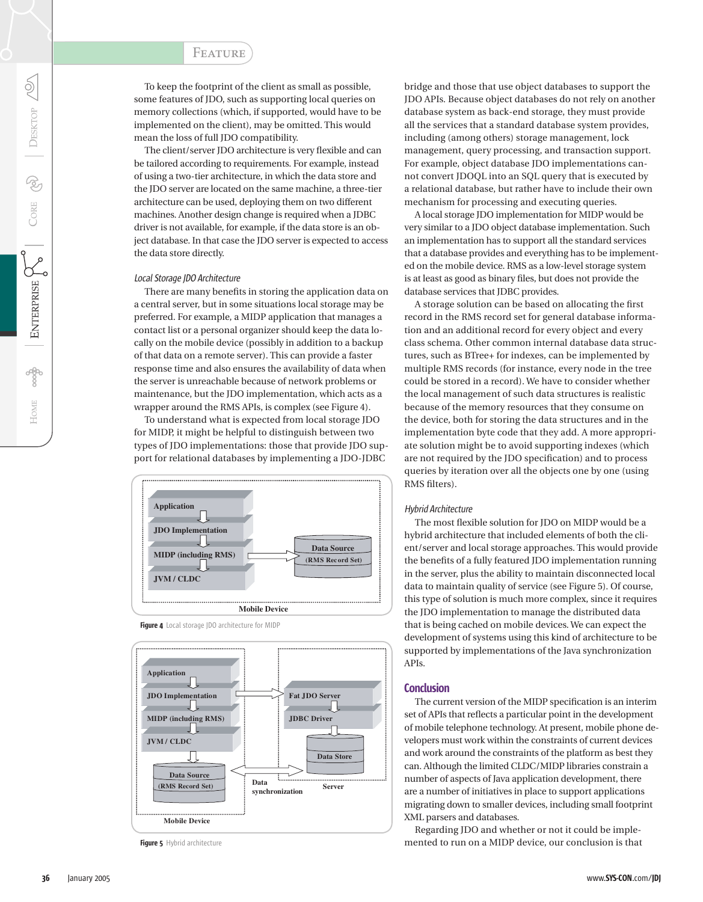To keep the footprint of the client as small as possible, some features of JDO, such as supporting local queries on memory collections (which, if supported, would have to be implemented on the client), may be omitted. This would mean the loss of full JDO compatibility.

 The client/server JDO architecture is very flexible and can be tailored according to requirements. For example, instead of using a two-tier architecture, in which the data store and the JDO server are located on the same machine, a three-tier architecture can be used, deploying them on two different machines. Another design change is required when a JDBC driver is not available, for example, if the data store is an object database. In that case the JDO server is expected to access the data store directly.

## Local Storage JDO Architecture

 There are many benefits in storing the application data on a central server, but in some situations local storage may be preferred. For example, a MIDP application that manages a contact list or a personal organizer should keep the data locally on the mobile device (possibly in addition to a backup of that data on a remote server). This can provide a faster response time and also ensures the availability of data when the server is unreachable because of network problems or maintenance, but the JDO implementation, which acts as a wrapper around the RMS APIs, is complex (see Figure 4).

 To understand what is expected from local storage JDO for MIDP, it might be helpful to distinguish between two types of JDO implementations: those that provide JDO support for relational databases by implementing a JDO-JDBC



Figure 4 Local storage JDO architecture for MIDP



Figure 5 Hybrid architecture

bridge and those that use object databases to support the JDO APIs. Because object databases do not rely on another database system as back-end storage, they must provide all the services that a standard database system provides, including (among others) storage management, lock management, query processing, and transaction support. For example, object database JDO implementations cannot convert JDOQL into an SQL query that is executed by a relational database, but rather have to include their own mechanism for processing and executing queries.

 A local storage JDO implementation for MIDP would be very similar to a JDO object database implementation. Such an implementation has to support all the standard services that a database provides and everything has to be implemented on the mobile device. RMS as a low-level storage system is at least as good as binary files, but does not provide the database services that JDBC provides.

 A storage solution can be based on allocating the first record in the RMS record set for general database information and an additional record for every object and every class schema. Other common internal database data structures, such as BTree+ for indexes, can be implemented by multiple RMS records (for instance, every node in the tree could be stored in a record). We have to consider whether the local management of such data structures is realistic because of the memory resources that they consume on the device, both for storing the data structures and in the implementation byte code that they add. A more appropriate solution might be to avoid supporting indexes (which are not required by the JDO specification) and to process queries by iteration over all the objects one by one (using RMS filters).

## Hybrid Architecture

 The most flexible solution for JDO on MIDP would be a hybrid architecture that included elements of both the client/server and local storage approaches. This would provide the benefits of a fully featured JDO implementation running in the server, plus the ability to maintain disconnected local data to maintain quality of service (see Figure 5). Of course, this type of solution is much more complex, since it requires the JDO implementation to manage the distributed data that is being cached on mobile devices. We can expect the development of systems using this kind of architecture to be supported by implementations of the Java synchronization APIs.

## **Conclusion**

 The current version of the MIDP specification is an interim set of APIs that reflects a particular point in the development of mobile telephone technology. At present, mobile phone developers must work within the constraints of current devices and work around the constraints of the platform as best they can. Although the limited CLDC/MIDP libraries constrain a number of aspects of Java application development, there are a number of initiatives in place to support applications migrating down to smaller devices, including small footprint XML parsers and databases.

 Regarding JDO and whether or not it could be implemented to run on a MIDP device, our conclusion is that

 $\lessgtr$